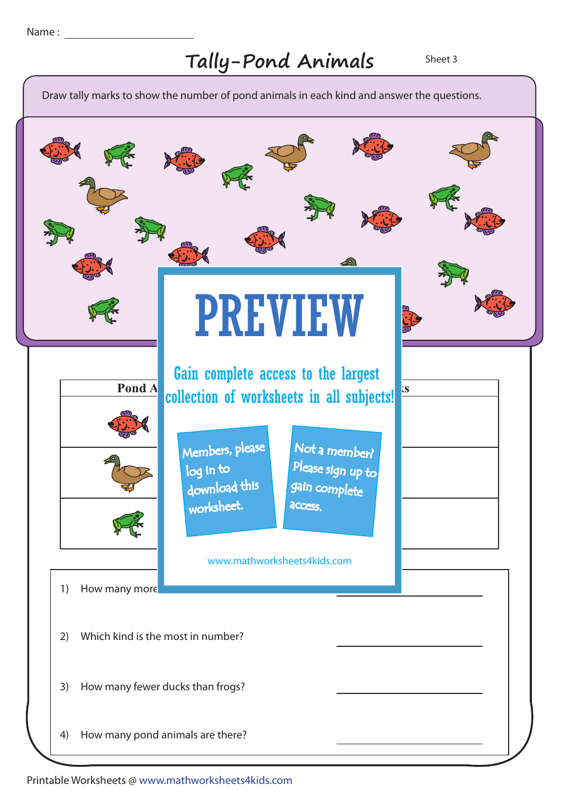## Tally-Pond Animals Sheet 3